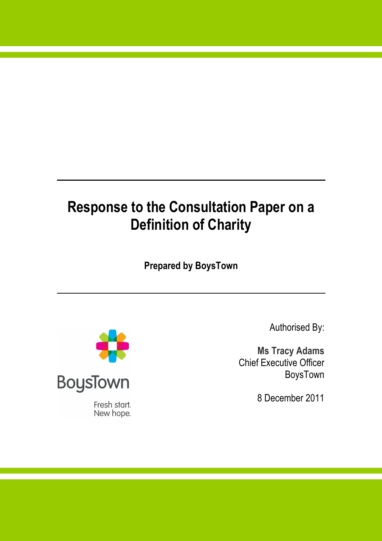# **Response to the Consultation Paper on a Definition of Charity**

 **Prepared by BoysTown** 



Fresh start. New hope. Authorised By:

 **Ms Tracy Adams**  Chief Executive Officer BoysTown

8 December 2011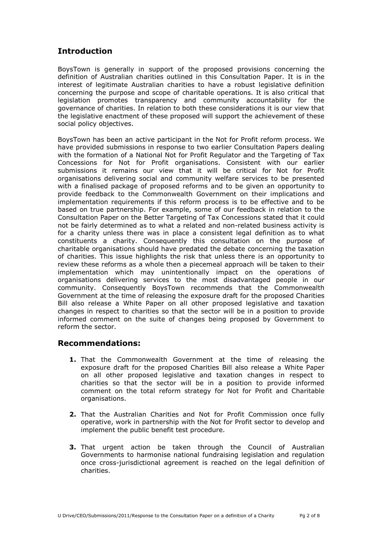# **Introduction**

 BoysTown is generally in support of the proposed provisions concerning the definition of Australian charities outlined in this Consultation Paper. It is in the interest of legitimate Australian charities to have a robust legislative definition concerning the purpose and scope of charitable operations. It is also critical that legislation promotes transparency and community accountability for the governance of charities. In relation to both these considerations it is our view that the legislative enactment of these proposed will support the achievement of these social policy objectives.

 BoysTown has been an active participant in the Not for Profit reform process. We have provided submissions in response to two earlier Consultation Papers dealing with the formation of a National Not for Profit Regulator and the Targeting of Tax Concessions for Not for Profit organisations. Consistent with our earlier submissions it remains our view that it will be critical for Not for Profit organisations delivering social and community welfare services to be presented with a finalised package of proposed reforms and to be given an opportunity to provide feedback to the Commonwealth Government on their implications and implementation requirements if this reform process is to be effective and to be based on true partnership. For example, some of our feedback in relation to the Consultation Paper on the Better Targeting of Tax Concessions stated that it could not be fairly determined as to what a related and non-related business activity is for a charity unless there was in place a consistent legal definition as to what constituents a charity. Consequently this consultation on the purpose of charitable organisations should have predated the debate concerning the taxation of charities. This issue highlights the risk that unless there is an opportunity to review these reforms as a whole then a piecemeal approach will be taken to their implementation which may unintentionally impact on the operations of organisations delivering services to the most disadvantaged people in our community. Consequently BoysTown recommends that the Commonwealth Government at the time of releasing the exposure draft for the proposed Charities Bill also release a White Paper on all other proposed legislative and taxation changes in respect to charities so that the sector will be in a position to provide informed comment on the suite of changes being proposed by Government to reform the sector.

### **Recommendations:**

- **1.** That the Commonwealth Government at the time of releasing the exposure draft for the proposed Charities Bill also release a White Paper on all other proposed legislative and taxation changes in respect to charities so that the sector will be in a position to provide informed comment on the total reform strategy for Not for Profit and Charitable organisations.
- **2.** That the Australian Charities and Not for Profit Commission once fully operative, work in partnership with the Not for Profit sector to develop and implement the public benefit test procedure.
- **3.** That urgent action be taken through the Council of Australian Governments to harmonise national fundraising legislation and regulation once cross-jurisdictional agreement is reached on the legal definition of charities.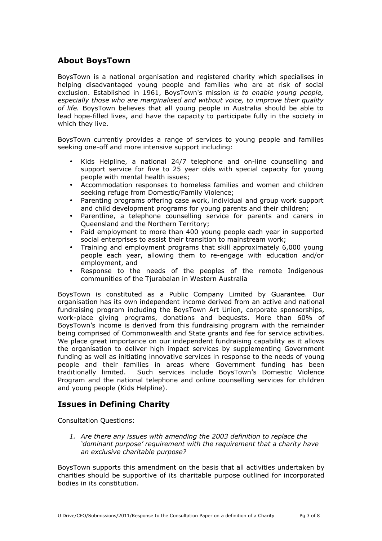## **About BoysTown**

 BoysTown is a national organisation and registered charity which specialises in helping disadvantaged young people and families who are at risk of social exclusion. Established in 1961, BoysTown's mission *is to enable young people, especially those who are marginalised and without voice, to improve their quality of life.* BoysTown believes that all young people in Australia should be able to lead hope-filled lives, and have the capacity to participate fully in the society in which they live.

 BoysTown currently provides a range of services to young people and families seeking one-off and more intensive support including:

- • Kids Helpline, a national 24/7 telephone and on-line counselling and support service for five to 25 year olds with special capacity for young people with mental health issues;
- • Accommodation responses to homeless families and women and children seeking refuge from Domestic/Family Violence;
- • Parenting programs offering case work, individual and group work support and child development programs for young parents and their children;
- • Parentline, a telephone counselling service for parents and carers in Queensland and the Northern Territory;
- • Paid employment to more than 400 young people each year in supported social enterprises to assist their transition to mainstream work;
- • Training and employment programs that skill approximately 6,000 young people each year, allowing them to re-engage with education and/or employment, and
- • Response to the needs of the peoples of the remote Indigenous communities of the Tjurabalan in Western Australia

 BoysTown is constituted as a Public Company Limited by Guarantee. Our organisation has its own independent income derived from an active and national fundraising program including the BoysTown Art Union, corporate sponsorships, work-place giving programs, donations and bequests. More than 60% of BoysTown's income is derived from this fundraising program with the remainder being comprised of Commonwealth and State grants and fee for service activities. We place great importance on our independent fundraising capability as it allows the organisation to deliver high impact services by supplementing Government funding as well as initiating innovative services in response to the needs of young people and their families in areas where Government funding has been traditionally limited. Program and the national telephone and online counselling services for children and young people (Kids Helpline). Such services include BoysTown's Domestic Violence

## **Issues in Defining Charity**

Consultation Questions:

 *1. Are there any issues with amending the 2003 definition to replace the 'dominant purpose' requirement with the requirement that a charity have an exclusive charitable purpose?* 

 BoysTown supports this amendment on the basis that all activities undertaken by charities should be supportive of its charitable purpose outlined for incorporated bodies in its constitution.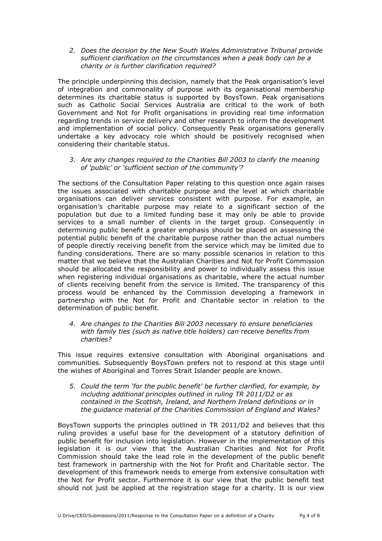*2. Does the decision by the New South Wales Administrative Tribunal provide sufficient clarification on the circumstances when a peak body can be a charity or is further clarification required?* 

 The principle underpinning this decision, namely that the Peak organisation's level of integration and commonality of purpose with its organisational membership determines its charitable status is supported by BoysTown. Peak organisations such as Catholic Social Services Australia are critical to the work of both Government and Not for Profit organisations in providing real time information regarding trends in service delivery and other research to inform the development and implementation of social policy. Consequently Peak organisations generally undertake a key advocacy role which should be positively recognised when considering their charitable status.

 *3. Are any changes required to the Charities Bill 2003 to clarify the meaning of 'public' or 'sufficient section of the community'?* 

 The sections of the Consultation Paper relating to this question once again raises the issues associated with charitable purpose and the level at which charitable organisations can deliver services consistent with purpose. For example, an organisation's charitable purpose may relate to a significant section of the population but due to a limited funding base it may only be able to provide services to a small number of clients in the target group. Consequently in determining public benefit a greater emphasis should be placed on assessing the potential public benefit of the charitable purpose rather than the actual numbers of people directly receiving benefit from the service which may be limited due to funding considerations. There are so many possible scenarios in relation to this matter that we believe that the Australian Charities and Not for Profit Commission should be allocated the responsibility and power to individually assess this issue when registering individual organisations as charitable, where the actual number of clients receiving benefit from the service is limited. The transparency of this process would be enhanced by the Commission developing a framework in partnership with the Not for Profit and Charitable sector in relation to the determination of public benefit.

#### *4. Are changes to the Charities Bill 2003 necessary to ensure beneficiaries with family ties (such as native title holders) can receive benefits from charities?*

 This issue requires extensive consultation with Aboriginal organisations and communities. Subsequently BoysTown prefers not to respond at this stage until the wishes of Aboriginal and Torres Strait Islander people are known.

 *5. Could the term 'for the public benefit' be further clarified, for example, by including additional principles outlined in ruling TR 2011/D2 or as contained in the Scottish, Ireland, and Northern Ireland definitions or in the guidance material of the Charities Commission of England and Wales?* 

 BoysTown supports the principles outlined in TR 2011/D2 and believes that this ruling provides a useful base for the development of a statutory definition of public benefit for inclusion into legislation. However in the implementation of this legislation it is our view that the Australian Charities and Not for Profit Commission should take the lead role in the development of the public benefit test framework in partnership with the Not for Profit and Charitable sector. The development of this framework needs to emerge from extensive consultation with the Not for Profit sector. Furthermore it is our view that the public benefit test should not just be applied at the registration stage for a charity. It is our view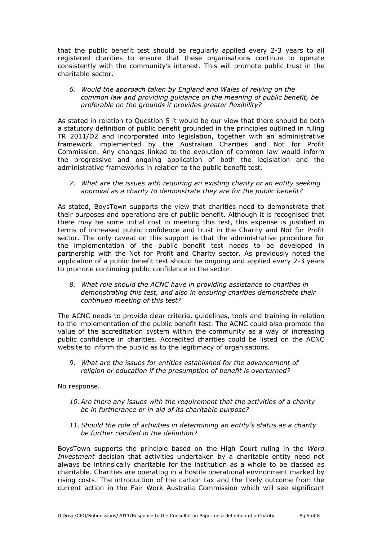that the public benefit test should be regularly applied every 2-3 years to all registered charities to ensure that these organisations continue to operate consistently with the community's interest. This will promote public trust in the charitable sector.

 *6. Would the approach taken by England and Wales of relying on the common law and providing guidance on the meaning of public benefit, be preferable on the grounds it provides greater flexibility?* 

 As stated in relation to Question 5 it would be our view that there should be both a statutory definition of public benefit grounded in the principles outlined in ruling TR 2011/D2 and incorporated into legislation, together with an administrative framework implemented by the Australian Charities and Not for Profit Commission. Any changes linked to the evolution of common law would inform the progressive and ongoing application of both the legislation and the administrative frameworks in relation to the public benefit test.

 *7. What are the issues with requiring an existing charity or an entity seeking approval as a charity to demonstrate they are for the public benefit?* 

 As stated, BoysTown supports the view that charities need to demonstrate that their purposes and operations are of public benefit. Although it is recognised that there may be some initial cost in meeting this test, this expense is justified in terms of increased public confidence and trust in the Charity and Not for Profit sector. The only caveat on this support is that the administrative procedure for the implementation of the public benefit test needs to be developed in partnership with the Not for Profit and Charity sector. As previously noted the application of a public benefit test should be ongoing and applied every 2-3 years to promote continuing public confidence in the sector.

 *8. What role should the ACNC have in providing assistance to charities in demonstrating this test, and also in ensuring charities demonstrate their continued meeting of this test?* 

 The ACNC needs to provide clear criteria, guidelines, tools and training in relation to the implementation of the public benefit test. The ACNC could also promote the value of the accreditation system within the community as a way of increasing public confidence in charities. Accredited charities could be listed on the ACNC website to inform the public as to the legitimacy of organisations.

 *9. What are the issues for entities established for the advancement of religion or education if the presumption of benefit is overturned?* 

No response.

- *10. Are there any issues with the requirement that the activities of a charity be in furtherance or in aid of its charitable purpose?*
- *11. Should the role of activities in determining an entity's status as a charity be further clarified in the definition?*

 BoysTown supports the principle based on the High Court ruling in the *Word Investment* decision that activities undertaken by a charitable entity need not always be intrinsically charitable for the institution as a whole to be classed as charitable. Charities are operating in a hostile operational environment marked by rising costs. The introduction of the carbon tax and the likely outcome from the current action in the Fair Work Australia Commission which will see significant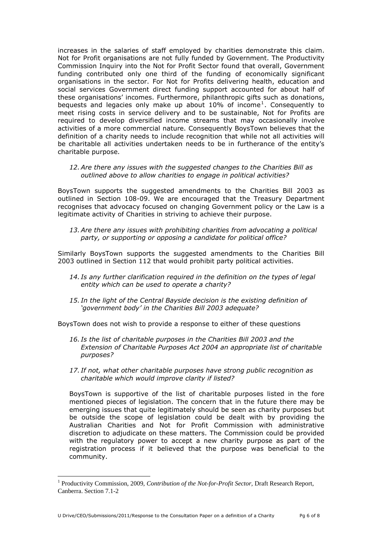increases in the salaries of staff employed by charities demonstrate this claim. Not for Profit organisations are not fully funded by Government. The Productivity Commission Inquiry into the Not for Profit Sector found that overall, Government funding contributed only one third of the funding of economically significant organisations in the sector. For Not for Profits delivering health, education and social services Government direct funding support accounted for about half of these organisations' incomes. Furthermore, philanthropic gifts such as donations, bequests and legacies only make up about 10% of income<sup>1</sup>. Consequently to meet rising costs in service delivery and to be sustainable, Not for Profits are required to develop diversified income streams that may occasionally involve activities of a more commercial nature. Consequently BoysTown believes that the definition of a charity needs to include recognition that while not all activities will be charitable all activities undertaken needs to be in furtherance of the entity's charitable purpose.

#### *12. Are there any issues with the suggested changes to the Charities Bill as outlined above to allow charities to engage in political activities?*

 BoysTown supports the suggested amendments to the Charities Bill 2003 as outlined in Section 108-09. We are encouraged that the Treasury Department recognises that advocacy focused on changing Government policy or the Law is a legitimate activity of Charities in striving to achieve their purpose.

 *13. Are there any issues with prohibiting charities from advocating a political party, or supporting or opposing a candidate for political office?* 

 Similarly BoysTown supports the suggested amendments to the Charities Bill 2003 outlined in Section 112 that would prohibit party political activities.

- *14. Is any further clarification required in the definition on the types of legal entity which can be used to operate a charity?*
- *15. In the light of the Central Bayside decision is the existing definition of 'government body' in the Charities Bill 2003 adequate?*

BoysTown does not wish to provide a response to either of these questions

- *16. Is the list of charitable purposes in the Charities Bill 2003 and the Extension of Charitable Purposes Act 2004 an appropriate list of charitable purposes?*
- *17. If not, what other charitable purposes have strong public recognition as charitable which would improve clarity if listed?*

 BoysTown is supportive of the list of charitable purposes listed in the fore mentioned pieces of legislation. The concern that in the future there may be emerging issues that quite legitimately should be seen as charity purposes but be outside the scope of legislation could be dealt with by providing the Australian Charities and Not for Profit Commission with administrative discretion to adjudicate on these matters. The Commission could be provided with the regulatory power to accept a new charity purpose as part of the registration process if it believed that the purpose was beneficial to the community.

 $\overline{a}$ 

<sup>&</sup>lt;sup>1</sup> Productivity Commission, 2009, *Contribution of the Not-for-Profit Sector*, Draft Research Report, Canberra. Section 7.1-2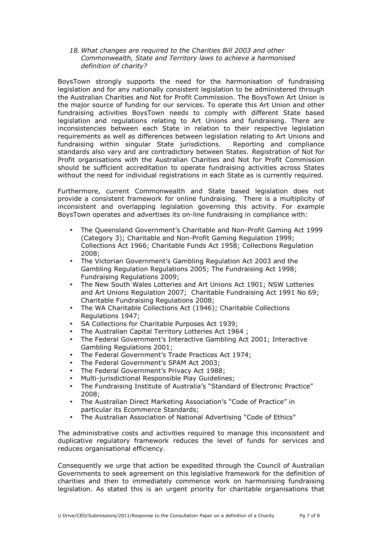*18. What changes are required to the Charities Bill 2003 and other Commonwealth, State and Territory laws to achieve a harmonised definition of charity?* 

 BoysTown strongly supports the need for the harmonisation of fundraising legislation and for any nationally consistent legislation to be administered through the Australian Charities and Not for Profit Commission. The BoysTown Art Union is the major source of funding for our services. To operate this Art Union and other fundraising activities BoysTown needs to comply with different State based legislation and regulations relating to Art Unions and fundraising. There are inconsistencies between each State in relation to their respective legislation requirements as well as differences between legislation relating to Art Unions and fundraising within singular State jurisdictions. Reporting and compliance standards also vary and are contradictory between States. Registration of Not for Profit organisations with the Australian Charities and Not for Profit Commission should be sufficient accreditation to operate fundraising activities across States without the need for individual registrations in each State as is currently required.

 Furthermore, current Commonwealth and State based legislation does not provide a consistent framework for online fundraising. There is a multiplicity of inconsistent and overlapping legislation governing this activity. For example BoysTown operates and advertises its on-line fundraising in compliance with:

- • The Queensland Government's Charitable and Non-Profit Gaming Act 1999 (Category 3); Charitable and Non-Profit Gaming Regulation 1999; Collections Act 1966; Charitable Funds Act 1958; Collections Regulation 2008;
- • The Victorian Government's Gambling Regulation Act 2003 and the Gambling Regulation Regulations 2005; The Fundraising Act 1998; Fundraising Regulations 2009;
- The New South Wales Lotteries and Art Unions Act 1901; NSW Lotteries and Art Unions Regulation 2007; Charitable Fundraising Act 1991 No 69; Charitable Fundraising Regulations 2008;
- The WA Charitable Collections Act (1946); Charitable Collections Regulations 1947;
- SA Collections for Charitable Purposes Act 1939;
- The Australian Capital Territory Lotteries Act 1964 ;
- • The Federal Government's Interactive Gambling Act 2001; Interactive Gambling Regulations 2001;
- The Federal Government's Trade Practices Act 1974;
- The Federal Government's SPAM Act 2003;
- The Federal Government's Privacy Act 1988;
- • Multi-jurisdictional Responsible Play Guidelines;
- The Fundraising Institute of Australia's "Standard of Electronic Practice" 2008;
- The Australian Direct Marketing Association's "Code of Practice" in particular its Ecommerce Standards;
- The Australian Association of National Advertising "Code of Ethics"

 The administrative costs and activities required to manage this inconsistent and duplicative regulatory framework reduces the level of funds for services and reduces organisational efficiency.

reduces organisational efficiency.<br>Consequently we urge that action be expedited through the Council of Australian Governments to seek agreement on this legislative framework for the definition of charities and then to immediately commence work on harmonising fundraising legislation. As stated this is an urgent priority for charitable organisations that